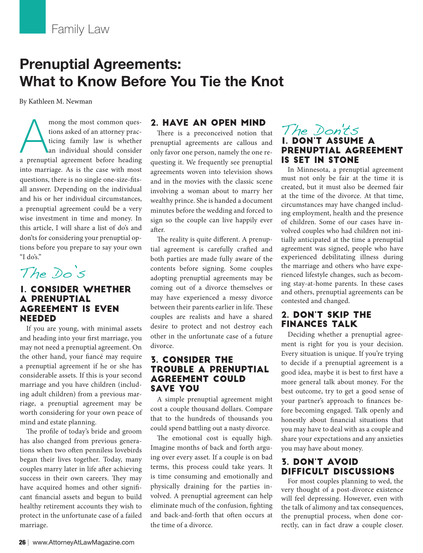# **Prenuptial Agreements: What to Know Before You Tie the Knot**

By Kathleen M. Newman

mong the most common ques-<br>tions asked of an attorney prac-<br>ticing family law is whether<br>an individual should consider<br>a prenuptial agreement before heading mong the most common questions asked of an attorney practicing family law is whether an individual should consider into marriage. As is the case with most questions, there is no single one-size-fitsall answer. Depending on the individual and his or her individual circumstances, a prenuptial agreement could be a very wise investment in time and money. In this article, I will share a list of do's and don'ts for considering your prenuptial options before you prepare to say your own "I do's."

The Do's

#### 1. CONSIDER WHETHER A PRENUPTIAL AGREEMENT IS EVEN NEEDED

If you are young, with minimal assets and heading into your first marriage, you may not need a prenuptial agreement. On the other hand, your fiancé may require a prenuptial agreement if he or she has considerable assets. If this is your second marriage and you have children (including adult children) from a previous marriage, a prenuptial agreement may be worth considering for your own peace of mind and estate planning.

The profile of today's bride and groom has also changed from previous generations when two often penniless lovebirds began their lives together. Today, many couples marry later in life after achieving success in their own careers. They may have acquired homes and other significant financial assets and begun to build healthy retirement accounts they wish to protect in the unfortunate case of a failed marriage.

### 2. HAVE AN OPEN MIND

There is a preconceived notion that prenuptial agreements are callous and only favor one person, namely the one requesting it. We frequently see prenuptial agreements woven into television shows and in the movies with the classic scene involving a woman about to marry her wealthy prince. She is handed a document minutes before the wedding and forced to sign so the couple can live happily ever after.

The reality is quite different. A prenuptial agreement is carefully crafted and both parties are made fully aware of the contents before signing. Some couples adopting prenuptial agreements may be coming out of a divorce themselves or may have experienced a messy divorce between their parents earlier in life. These couples are realists and have a shared desire to protect and not destroy each other in the unfortunate case of a future divorce.

#### 3. CONSIDER THE TROUBLE A PRENUPTIAL AGREEMENT COULD SAVE YOU

A simple prenuptial agreement might cost a couple thousand dollars. Compare that to the hundreds of thousands you could spend battling out a nasty divorce.

The emotional cost is equally high. Imagine months of back and forth arguing over every asset. If a couple is on bad terms, this process could take years. It is time consuming and emotionally and physically draining for the parties involved. A prenuptial agreement can help eliminate much of the confusion, fighting and back-and-forth that often occurs at the time of a divorce.

# The Don'ts 1. DON'T ASSUME A PRENUPTIAL AGREEMENT IS SET IN STONE

In Minnesota, a prenuptial agreement must not only be fair at the time it is created, but it must also be deemed fair at the time of the divorce. At that time, circumstances may have changed including employment, health and the presence of children. Some of our cases have involved couples who had children not initially anticipated at the time a prenuptial agreement was signed, people who have experienced debilitating illness during the marriage and others who have experienced lifestyle changes, such as becoming stay-at-home parents. In these cases and others, prenuptial agreements can be contested and changed.

## 2. DON'T SKIP THE FINANCES TALK

Deciding whether a prenuptial agreement is right for you is your decision. Every situation is unique. If you're trying to decide if a prenuptial agreement is a good idea, maybe it is best to first have a more general talk about money. For the best outcome, try to get a good sense of your partner's approach to finances before becoming engaged. Talk openly and honestly about financial situations that you may have to deal with as a couple and share your expectations and any anxieties you may have about money.

## 3. DON'T AVOID DIFFICULT DISCUSSIONS

For most couples planning to wed, the very thought of a post-divorce existence will feel depressing. However, even with the talk of alimony and tax consequences, the prenuptial process, when done correctly, can in fact draw a couple closer.